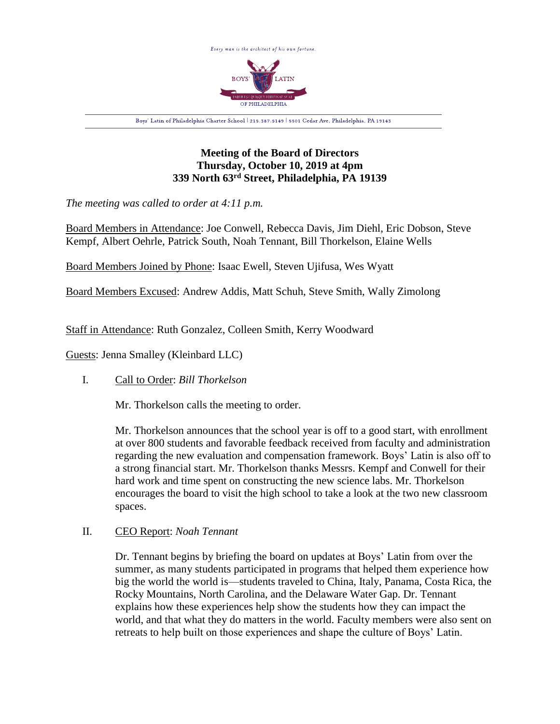

# **Meeting of the Board of Directors Thursday, October 10, 2019 at 4pm 339 North 63rd Street, Philadelphia, PA 19139**

*The meeting was called to order at 4:11 p.m.*

Board Members in Attendance: Joe Conwell, Rebecca Davis, Jim Diehl, Eric Dobson, Steve Kempf, Albert Oehrle, Patrick South, Noah Tennant, Bill Thorkelson, Elaine Wells

Board Members Joined by Phone: Isaac Ewell, Steven Ujifusa, Wes Wyatt

Board Members Excused: Andrew Addis, Matt Schuh, Steve Smith, Wally Zimolong

Staff in Attendance: Ruth Gonzalez, Colleen Smith, Kerry Woodward

Guests: Jenna Smalley (Kleinbard LLC)

# I. Call to Order: *Bill Thorkelson*

Mr. Thorkelson calls the meeting to order.

Mr. Thorkelson announces that the school year is off to a good start, with enrollment at over 800 students and favorable feedback received from faculty and administration regarding the new evaluation and compensation framework. Boys' Latin is also off to a strong financial start. Mr. Thorkelson thanks Messrs. Kempf and Conwell for their hard work and time spent on constructing the new science labs. Mr. Thorkelson encourages the board to visit the high school to take a look at the two new classroom spaces.

# II. CEO Report: *Noah Tennant*

Dr. Tennant begins by briefing the board on updates at Boys' Latin from over the summer, as many students participated in programs that helped them experience how big the world the world is—students traveled to China, Italy, Panama, Costa Rica, the Rocky Mountains, North Carolina, and the Delaware Water Gap. Dr. Tennant explains how these experiences help show the students how they can impact the world, and that what they do matters in the world. Faculty members were also sent on retreats to help built on those experiences and shape the culture of Boys' Latin.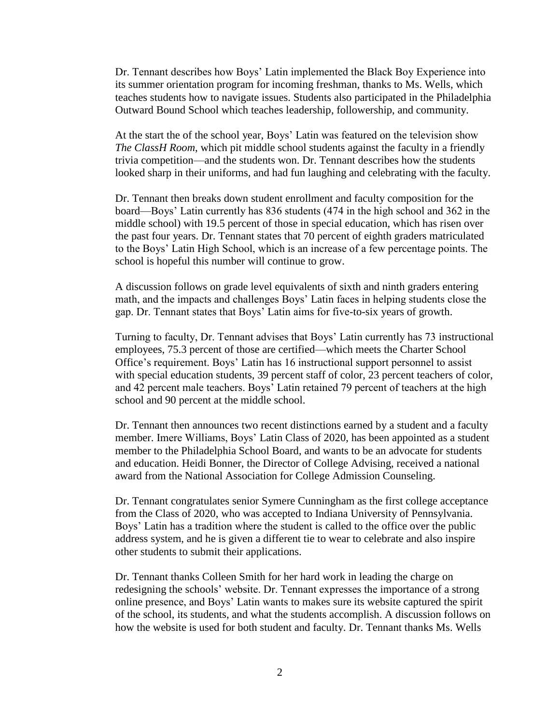Dr. Tennant describes how Boys' Latin implemented the Black Boy Experience into its summer orientation program for incoming freshman, thanks to Ms. Wells, which teaches students how to navigate issues. Students also participated in the Philadelphia Outward Bound School which teaches leadership, followership, and community.

At the start the of the school year, Boys' Latin was featured on the television show *The ClassH Room*, which pit middle school students against the faculty in a friendly trivia competition—and the students won. Dr. Tennant describes how the students looked sharp in their uniforms, and had fun laughing and celebrating with the faculty.

Dr. Tennant then breaks down student enrollment and faculty composition for the board—Boys' Latin currently has 836 students (474 in the high school and 362 in the middle school) with 19.5 percent of those in special education, which has risen over the past four years. Dr. Tennant states that 70 percent of eighth graders matriculated to the Boys' Latin High School, which is an increase of a few percentage points. The school is hopeful this number will continue to grow.

A discussion follows on grade level equivalents of sixth and ninth graders entering math, and the impacts and challenges Boys' Latin faces in helping students close the gap. Dr. Tennant states that Boys' Latin aims for five-to-six years of growth.

Turning to faculty, Dr. Tennant advises that Boys' Latin currently has 73 instructional employees, 75.3 percent of those are certified—which meets the Charter School Office's requirement. Boys' Latin has 16 instructional support personnel to assist with special education students, 39 percent staff of color, 23 percent teachers of color, and 42 percent male teachers. Boys' Latin retained 79 percent of teachers at the high school and 90 percent at the middle school.

Dr. Tennant then announces two recent distinctions earned by a student and a faculty member. Imere Williams, Boys' Latin Class of 2020, has been appointed as a student member to the Philadelphia School Board, and wants to be an advocate for students and education. Heidi Bonner, the Director of College Advising, received a national award from the National Association for College Admission Counseling.

Dr. Tennant congratulates senior Symere Cunningham as the first college acceptance from the Class of 2020, who was accepted to Indiana University of Pennsylvania. Boys' Latin has a tradition where the student is called to the office over the public address system, and he is given a different tie to wear to celebrate and also inspire other students to submit their applications.

Dr. Tennant thanks Colleen Smith for her hard work in leading the charge on redesigning the schools' website. Dr. Tennant expresses the importance of a strong online presence, and Boys' Latin wants to makes sure its website captured the spirit of the school, its students, and what the students accomplish. A discussion follows on how the website is used for both student and faculty. Dr. Tennant thanks Ms. Wells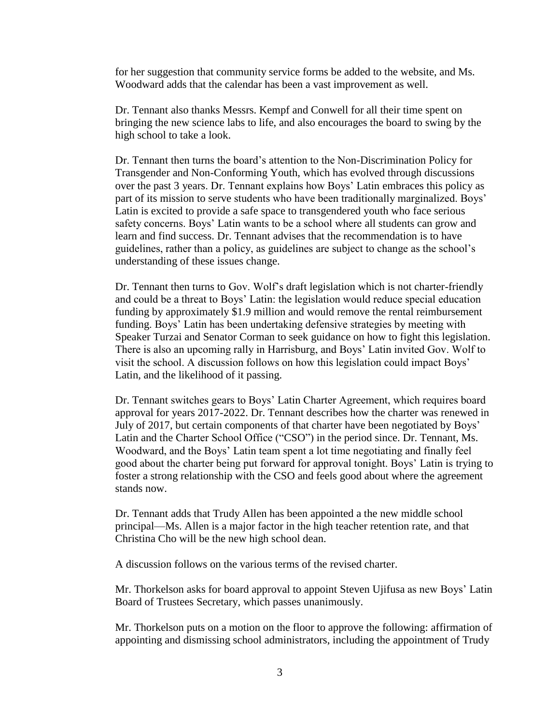for her suggestion that community service forms be added to the website, and Ms. Woodward adds that the calendar has been a vast improvement as well.

Dr. Tennant also thanks Messrs. Kempf and Conwell for all their time spent on bringing the new science labs to life, and also encourages the board to swing by the high school to take a look.

Dr. Tennant then turns the board's attention to the Non-Discrimination Policy for Transgender and Non-Conforming Youth, which has evolved through discussions over the past 3 years. Dr. Tennant explains how Boys' Latin embraces this policy as part of its mission to serve students who have been traditionally marginalized. Boys' Latin is excited to provide a safe space to transgendered youth who face serious safety concerns. Boys' Latin wants to be a school where all students can grow and learn and find success. Dr. Tennant advises that the recommendation is to have guidelines, rather than a policy, as guidelines are subject to change as the school's understanding of these issues change.

Dr. Tennant then turns to Gov. Wolf's draft legislation which is not charter-friendly and could be a threat to Boys' Latin: the legislation would reduce special education funding by approximately \$1.9 million and would remove the rental reimbursement funding. Boys' Latin has been undertaking defensive strategies by meeting with Speaker Turzai and Senator Corman to seek guidance on how to fight this legislation. There is also an upcoming rally in Harrisburg, and Boys' Latin invited Gov. Wolf to visit the school. A discussion follows on how this legislation could impact Boys' Latin, and the likelihood of it passing.

Dr. Tennant switches gears to Boys' Latin Charter Agreement, which requires board approval for years 2017-2022. Dr. Tennant describes how the charter was renewed in July of 2017, but certain components of that charter have been negotiated by Boys' Latin and the Charter School Office ("CSO") in the period since. Dr. Tennant, Ms. Woodward, and the Boys' Latin team spent a lot time negotiating and finally feel good about the charter being put forward for approval tonight. Boys' Latin is trying to foster a strong relationship with the CSO and feels good about where the agreement stands now.

Dr. Tennant adds that Trudy Allen has been appointed a the new middle school principal—Ms. Allen is a major factor in the high teacher retention rate, and that Christina Cho will be the new high school dean.

A discussion follows on the various terms of the revised charter.

Mr. Thorkelson asks for board approval to appoint Steven Ujifusa as new Boys' Latin Board of Trustees Secretary, which passes unanimously.

Mr. Thorkelson puts on a motion on the floor to approve the following: affirmation of appointing and dismissing school administrators, including the appointment of Trudy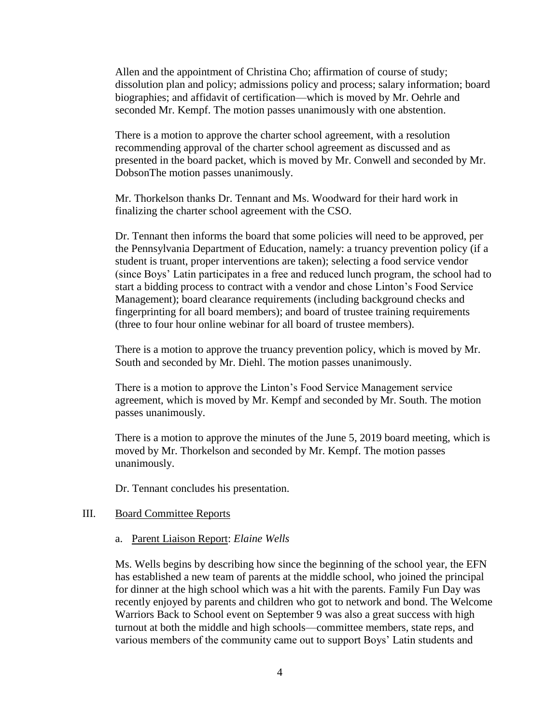Allen and the appointment of Christina Cho; affirmation of course of study; dissolution plan and policy; admissions policy and process; salary information; board biographies; and affidavit of certification—which is moved by Mr. Oehrle and seconded Mr. Kempf. The motion passes unanimously with one abstention.

There is a motion to approve the charter school agreement, with a resolution recommending approval of the charter school agreement as discussed and as presented in the board packet, which is moved by Mr. Conwell and seconded by Mr. DobsonThe motion passes unanimously.

Mr. Thorkelson thanks Dr. Tennant and Ms. Woodward for their hard work in finalizing the charter school agreement with the CSO.

Dr. Tennant then informs the board that some policies will need to be approved, per the Pennsylvania Department of Education, namely: a truancy prevention policy (if a student is truant, proper interventions are taken); selecting a food service vendor (since Boys' Latin participates in a free and reduced lunch program, the school had to start a bidding process to contract with a vendor and chose Linton's Food Service Management); board clearance requirements (including background checks and fingerprinting for all board members); and board of trustee training requirements (three to four hour online webinar for all board of trustee members).

There is a motion to approve the truancy prevention policy, which is moved by Mr. South and seconded by Mr. Diehl. The motion passes unanimously.

There is a motion to approve the Linton's Food Service Management service agreement, which is moved by Mr. Kempf and seconded by Mr. South. The motion passes unanimously.

There is a motion to approve the minutes of the June 5, 2019 board meeting, which is moved by Mr. Thorkelson and seconded by Mr. Kempf. The motion passes unanimously.

Dr. Tennant concludes his presentation.

### III. Board Committee Reports

#### a. Parent Liaison Report: *Elaine Wells*

Ms. Wells begins by describing how since the beginning of the school year, the EFN has established a new team of parents at the middle school, who joined the principal for dinner at the high school which was a hit with the parents. Family Fun Day was recently enjoyed by parents and children who got to network and bond. The Welcome Warriors Back to School event on September 9 was also a great success with high turnout at both the middle and high schools—committee members, state reps, and various members of the community came out to support Boys' Latin students and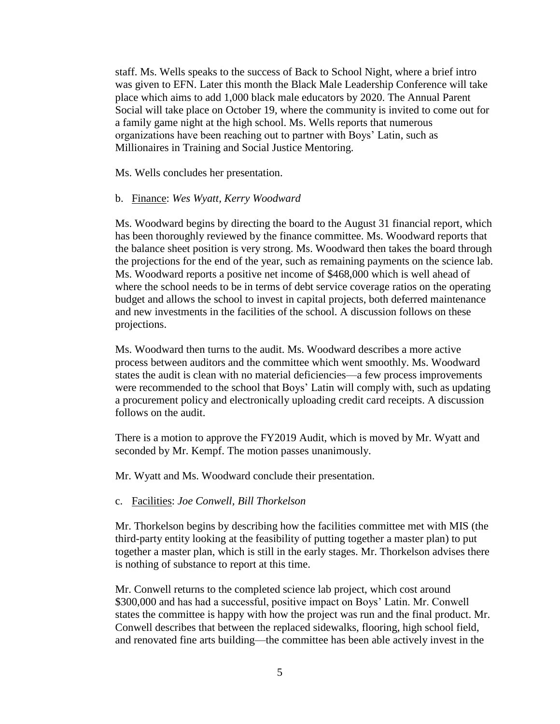staff. Ms. Wells speaks to the success of Back to School Night, where a brief intro was given to EFN. Later this month the Black Male Leadership Conference will take place which aims to add 1,000 black male educators by 2020. The Annual Parent Social will take place on October 19, where the community is invited to come out for a family game night at the high school. Ms. Wells reports that numerous organizations have been reaching out to partner with Boys' Latin, such as Millionaires in Training and Social Justice Mentoring.

Ms. Wells concludes her presentation.

#### b. Finance: *Wes Wyatt, Kerry Woodward*

Ms. Woodward begins by directing the board to the August 31 financial report, which has been thoroughly reviewed by the finance committee. Ms. Woodward reports that the balance sheet position is very strong. Ms. Woodward then takes the board through the projections for the end of the year, such as remaining payments on the science lab. Ms. Woodward reports a positive net income of \$468,000 which is well ahead of where the school needs to be in terms of debt service coverage ratios on the operating budget and allows the school to invest in capital projects, both deferred maintenance and new investments in the facilities of the school. A discussion follows on these projections.

Ms. Woodward then turns to the audit. Ms. Woodward describes a more active process between auditors and the committee which went smoothly. Ms. Woodward states the audit is clean with no material deficiencies—a few process improvements were recommended to the school that Boys' Latin will comply with, such as updating a procurement policy and electronically uploading credit card receipts. A discussion follows on the audit.

There is a motion to approve the FY2019 Audit, which is moved by Mr. Wyatt and seconded by Mr. Kempf. The motion passes unanimously.

Mr. Wyatt and Ms. Woodward conclude their presentation.

#### c. Facilities: *Joe Conwell, Bill Thorkelson*

Mr. Thorkelson begins by describing how the facilities committee met with MIS (the third-party entity looking at the feasibility of putting together a master plan) to put together a master plan, which is still in the early stages. Mr. Thorkelson advises there is nothing of substance to report at this time.

Mr. Conwell returns to the completed science lab project, which cost around \$300,000 and has had a successful, positive impact on Boys' Latin. Mr. Conwell states the committee is happy with how the project was run and the final product. Mr. Conwell describes that between the replaced sidewalks, flooring, high school field, and renovated fine arts building—the committee has been able actively invest in the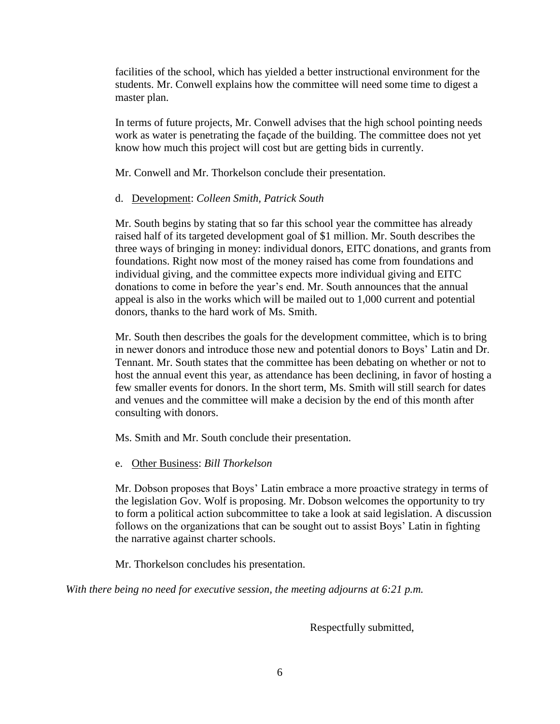facilities of the school, which has yielded a better instructional environment for the students. Mr. Conwell explains how the committee will need some time to digest a master plan.

In terms of future projects, Mr. Conwell advises that the high school pointing needs work as water is penetrating the façade of the building. The committee does not yet know how much this project will cost but are getting bids in currently.

Mr. Conwell and Mr. Thorkelson conclude their presentation.

# d. Development: *Colleen Smith, Patrick South*

Mr. South begins by stating that so far this school year the committee has already raised half of its targeted development goal of \$1 million. Mr. South describes the three ways of bringing in money: individual donors, EITC donations, and grants from foundations. Right now most of the money raised has come from foundations and individual giving, and the committee expects more individual giving and EITC donations to come in before the year's end. Mr. South announces that the annual appeal is also in the works which will be mailed out to 1,000 current and potential donors, thanks to the hard work of Ms. Smith.

Mr. South then describes the goals for the development committee, which is to bring in newer donors and introduce those new and potential donors to Boys' Latin and Dr. Tennant. Mr. South states that the committee has been debating on whether or not to host the annual event this year, as attendance has been declining, in favor of hosting a few smaller events for donors. In the short term, Ms. Smith will still search for dates and venues and the committee will make a decision by the end of this month after consulting with donors.

Ms. Smith and Mr. South conclude their presentation.

# e. Other Business: *Bill Thorkelson*

Mr. Dobson proposes that Boys' Latin embrace a more proactive strategy in terms of the legislation Gov. Wolf is proposing. Mr. Dobson welcomes the opportunity to try to form a political action subcommittee to take a look at said legislation. A discussion follows on the organizations that can be sought out to assist Boys' Latin in fighting the narrative against charter schools.

Mr. Thorkelson concludes his presentation.

*With there being no need for executive session, the meeting adjourns at 6:21 p.m.*

Respectfully submitted,